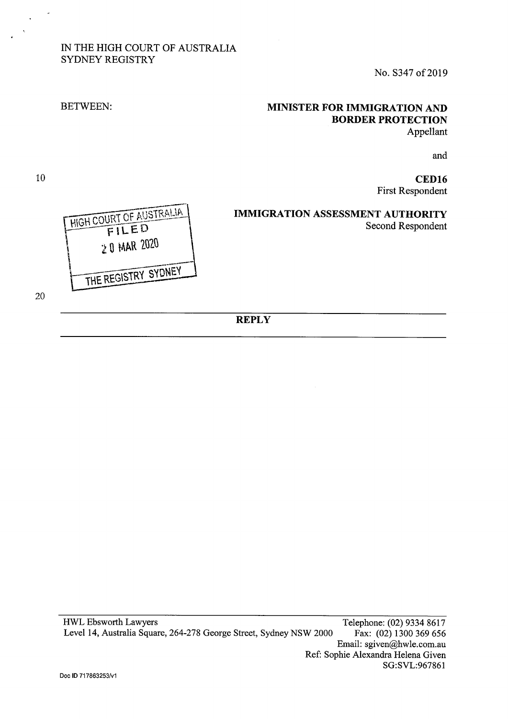# IN THE HIGH COURT OF AUSTRALIA SYDNEY REGISTRY

No. S347 of 2019

# **MINISTER FOR IMMIGRATION AND BORDER PROTECTION**  Appellant

and

**CED16**  First Respondent

**IMMIGRATION ASSESSMENT AUTHORITY**  Second Respondent



20

10

BETWEEN:

**REPLY**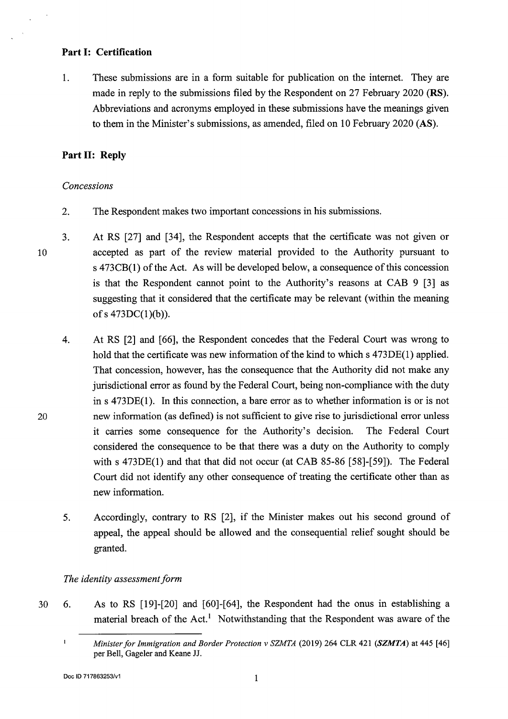#### **Part I: Certification**

1. These submissions are in a form suitable for publication on the internet. They are made in reply to the submissions filed by the Respondent on 27 February 2020 **(RS).**  Abbreviations and acronyms employed in these submissions have the meanings given to them in the Minister's submissions, as amended, filed on 10 February 2020 **(AS).** 

### **Part II: Reply**

#### *Concessions*

10

20

- 2. The Respondent makes two important concessions in his submissions.
- 3. At RS [27] and [34], the Respondent accepts that the certificate was not given or accepted as part of the review material provided to the Authority pursuant to s 473CB(l) of the Act. As will be developed below, a consequence of this concession is that the Respondent cannot point to the Authority's reasons at CAB 9 [3] as suggesting that it considered that the certificate may be relevant (within the meaning of s  $473DC(1)(b)$ ).
	- 4. At RS [2] and [66], the Respondent concedes that the Federal Court was wrong to hold that the certificate was new information of the kind to which s 473DE(1) applied. That concession, however, has the consequence that the Authority did not make any jurisdictional error as found by the Federal Court, being non-compliance with the duty ins 473DE(l). In this connection, a bare error as to whether information is or is not new information (as defined) is not sufficient to give rise to jurisdictional error unless it carries some consequence for the Authority's decision. The Federal Court considered the consequence to be that there was a duty on the Authority to comply with s 473DE(1) and that that did not occur (at CAB 85-86 [58]-[59]). The Federal Court did not identify any other consequence of treating the certificate other than as new information.
		- 5. Accordingly, contrary to RS [2], if the Minister makes out his second ground of appeal, the appeal should be allowed and the consequential relief sought should be granted.

### *The identity assessment form*

30 6. As to RS [19]-[20] and [60]-[64], the Respondent had the onus in establishing a material breach of the Act.<sup>1</sup> Notwithstanding that the Respondent was aware of the

 $\mathbf{I}$ *Minister for Immigration and Border Protection v SZMTA* (2019) 264 CLR 421 *(SZMTA)* at 445 [46] per Bell, Gageler and Keane JJ.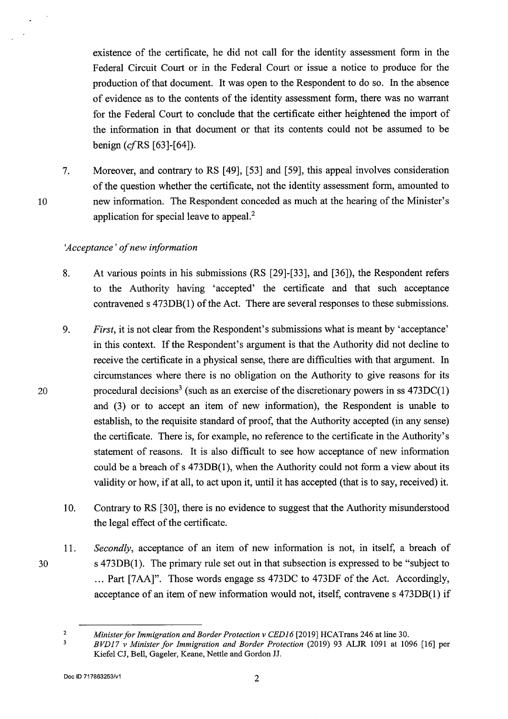existence of the certificate, he did not call for the identity assessment form in the Federal Circuit Court or in the Federal Court or issue a notice to produce for the production of that document. It was open to the Respondent to do so. In the absence of evidence as to the contents of the identity assessment form, there was no warrant for the Federal Court to conclude that the certificate either heightened the import of the information in that document or that its contents could not be assumed to be benign (cfRS [63]-[64]).

7. Moreover, and contrary to RS [49], [53] and [59], this appeal involves consideration of the question whether the certificate, not the identity assessment form, amounted to new information. The Respondent conceded as much at the hearing of the Minister's application for special leave to appeal.<sup>2</sup>

### *'Acceptance* ' *of new information*

- 8. At various points in his submissions (RS [29]-[33], and [36]), the Respondent refers to the Authority having 'accepted' the certificate and that such acceptance contravened s 473DB(l) of the Act. There are several responses to these submissions.
- 9. *First,* it is not clear from the Respondent's submissions what is meant by 'acceptance' in this context. If the Respondent's argument is that the Authority did not decline to receive the certificate in a physical sense, there are difficulties with that argument. In circumstances where there is no obligation on the Authority to give reasons for its procedural decisions<sup>3</sup> (such as an exercise of the discretionary powers in ss  $473DC(1)$ ) and (3) or to accept an item of new information), the Respondent is unable to establish, to the requisite standard of proof, that the Authority accepted (in any sense) the certificate. There is, for example, no reference to the certificate in the Authority's statement of reasons. It is also difficult to see how acceptance of new information could be a breach of s 473DB(l), when the Authority could not form a view about its validity or how, if at all, to act upon it, until it has accepted (that is to say, received) it.
- 10. Contrary to RS [30], there is no evidence to suggest that the Authority misunderstood the legal effect of the certificate.
- 11. *Secondly,* acceptance of an item of new information is not, in itself, a breach of s 473DB(l). The primary rule set out in that subsection is expressed to be "subject to ... Part [7AA]". Those words engage ss 473DC to 473DF of the Act. Accordingly, acceptance of an item of new information would not, itself, contravenes 473DB(l) if

 $\mathbf 2$  $\overline{\mathbf{3}}$ 

30

*Minister for Immigration and Border Protection v CED16* [2019] HCATrans 246 at line 30.

*BVD17 v Minister for Immigration and Border Protection* (2019) 93 ALJR 1091 at 1096 [16] per Kiefel CJ, Bell, Gageler, Keane, Nettle and Gordon JJ.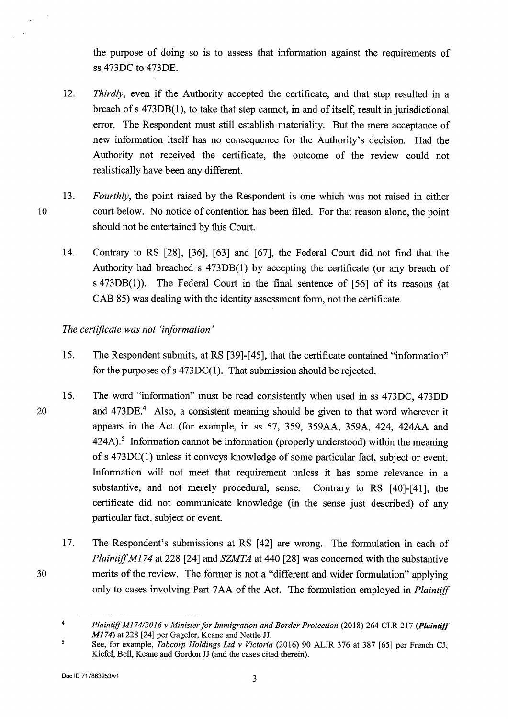the purpose of doing so is to assess that information against the requirements of ss 473DC to 473DE.

- 12. *Thirdly,* even if the Authority accepted the certificate, and that step resulted in a breach of s 473DB(l ), to take that step cannot, in and of itself, result in jurisdictional error. The Respondent must still establish materiality. But the mere acceptance of new information itself has no consequence for the Authority's decision. Had the Authority not received the certificate, the outcome of the review could not realistically have been any different.
- 13. *Fourthly,* the point raised by the Respondent is one which was not raised in either court below. No notice of contention has been filed. For that reason alone, the point should not be entertained by this Court.
	- 14. Contrary to RS [28], [36], [63] and [67], the Federal Court did not find that the Authority had breached s 473DB(l) by accepting the certificate (or any breach of s 473DB(l)). The Federal Court in the final sentence of [56] of its reasons (at CAB 85) was dealing with the identity assessment form, not the certificate.

*The certificate was not 'information'* 

10

- 15. The Respondent submits, at RS [39]-[45], that the certificate contained "information" for the purposes of s 473DC(l). That submission should be rejected.
- 20 16. The word "information" must be read consistently when used in ss 473DC, 473DD and  $473DE<sup>4</sup>$  Also, a consistent meaning should be given to that word wherever it appears in the Act (for example, in ss 57, 359, 359AA, 359A, 424, 424AA and  $424A$ )<sup>5</sup>. Information cannot be information (properly understood) within the meaning of s 473DC(l) unless it conveys knowledge of some particular fact, subject or event. Information will not meet that requirement unless it has some relevance in a substantive, and not merely procedural, sense. Contrary to RS [40]-[41], the certificate did not communicate knowledge (in the sense just described) of any particular fact, subject or event.
	- 17. The Respondent's submissions at RS [42] are wrong. The formulation in each of *Plaintiff Ml74* at 228 [24] and *SZMTA* at 440 [28] was concerned with the substantive merits of the review. The former is not a "different and wider formulation" applying only to cases involving Part 7 AA of the Act. The formulation employed in *Plaintiff*

<sup>4</sup>  *Plaintiff Ml74/2016 v Minister for Immigration and Border Protection* (2018) 264 CLR 217 *(Plaintiff M174)* at 228 [24] per Gageler, Keane and Nettle JJ.

 $\overline{\mathbf{5}}$ See, for example, *Tabcorp Holdings Ltd v Victoria* (2016) 90 ALJR 376 at 387 [65] per French CJ, Kiefel, Bell, Keane and Gordon JJ (and the cases cited therein).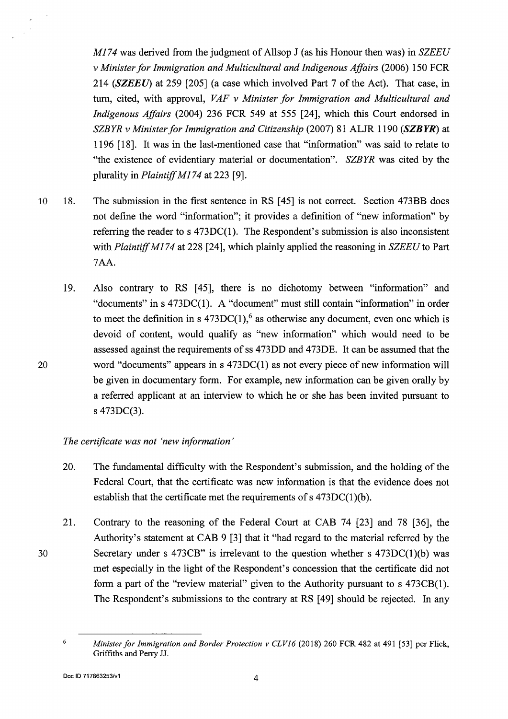*Ml 74* was derived from the judgment of Allsop J (as his Honour then was) in *SZEEU v Minister for Immigration and Multicultural and Indigenous Affairs* (2006) 150 FCR 214 *(SZEEU)* at 259 [205] ( a case which involved Part 7 of the Act). That case, in tum, cited, with approval, *VAF v Minister for Immigration and Multicultural and Indigenous Affairs* (2004) 236 FCR 549 at 555 [24], which this Court endorsed in *SZBYR v Minister for Immigration and Citizenship* (2007) 81 ALJR 1190 *(SZBYR)* at 1196 [18]. It was in the last-mentioned case that "information" was said to relate to "the existence of evidentiary material or documentation". *SZBYR* was cited by the plurality in *Plaintiff M174* at 223 [9].

- 10 18. The submission in the first sentence in RS [ 45] is not correct. Section 473BB does not define the word "information"; it provides a definition of "new information" by referring the reader to s 473DC(l). The Respondent's submission is also inconsistent with *Plaintiff Ml 74* at 228 [24], which plainly applied the reasoning in *SZEEU* to Part 7AA.
	- 19. Also contrary to RS [45], there is no dichotomy between "information" and "documents" ins 473DC(l). A "document" must still contain "information" in order to meet the definition in s  $473DC(1)$ ,  $6$  as otherwise any document, even one which is devoid of content, would qualify as "new information" which would need to be assessed against the requirements of ss 473DD and 473DE. It can be assumed that the word "documents" appears in  $s$  473DC(1) as not every piece of new information will be given in documentary form. For example, new information can be given orally by a referred applicant at an interview to which he or she has been invited pursuant to s 473DC(3).

# *The certificate was not 'new information* '

- 20. The fundamental difficulty with the Respondent's submission, and the holding of the Federal Court, that the certificate was new information is that the evidence does not establish that the certificate met the requirements of  $s$  473DC(1)(b).
- 21. Contrary to the reasoning of the Federal Court at CAB 74 [23] and 78 [36], the Authority's statement at CAB 9 [3] that it "had regard to the material referred by the Secretary under s  $473CB$ " is irrelevant to the question whether s  $473DC(1)(b)$  was met especially in the light of the Respondent's concession that the certificate did not form a part of the "review material" given to the Authority pursuant to s 473CB(1). The Respondent's submissions to the contrary at RS [49] should be rejected. In any

20

<sup>&</sup>lt;sup>6</sup> Minister for Immigration and Border Protection v CLV16 (2018) 260 FCR 482 at 491 [53] per Flick, Griffiths and Perry JJ.